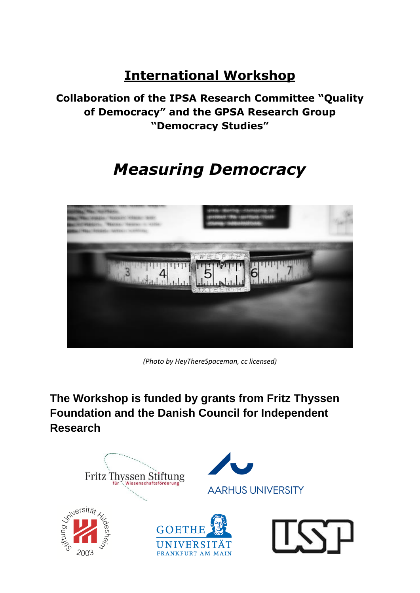## **International Workshop**

**Collaboration of the IPSA Research Committee "Quality of Democracy" and the GPSA Research Group "Democracy Studies"** 

# *Measuring Democracy*



*(Photo by [HeyThereSpaceman,](http://www.flickr.com/photos/spacesuitcatalyst/536389937/) cc licensed)*

**The Workshop is funded by grants from Fritz Thyssen Foundation and the Danish Council for Independent Research**

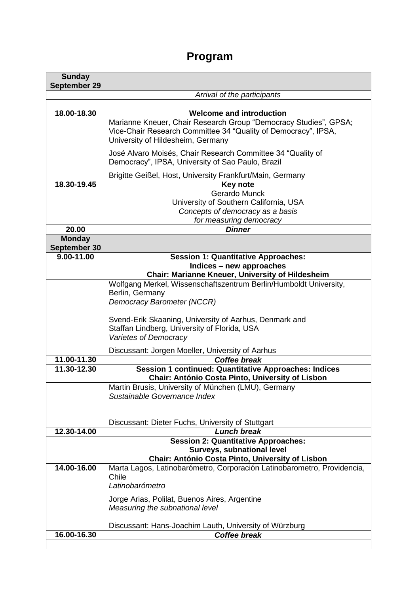### **Program**

| <b>Sunday</b>                 |                                                                                                                                                                                                                                                       |
|-------------------------------|-------------------------------------------------------------------------------------------------------------------------------------------------------------------------------------------------------------------------------------------------------|
| September 29                  |                                                                                                                                                                                                                                                       |
|                               | Arrival of the participants                                                                                                                                                                                                                           |
|                               |                                                                                                                                                                                                                                                       |
| 18.00-18.30                   | <b>Welcome and introduction</b><br>Marianne Kneuer, Chair Research Group "Democracy Studies", GPSA;<br>Vice-Chair Research Committee 34 "Quality of Democracy", IPSA,<br>University of Hildesheim, Germany                                            |
|                               | José Alvaro Moisés, Chair Research Committee 34 "Quality of<br>Democracy", IPSA, University of Sao Paulo, Brazil                                                                                                                                      |
|                               | Brigitte Geißel, Host, University Frankfurt/Main, Germany                                                                                                                                                                                             |
| 18.30-19.45                   | <b>Key note</b><br>Gerardo Munck<br>University of Southern California, USA<br>Concepts of democracy as a basis<br>for measuring democracy                                                                                                             |
| 20.00                         | <b>Dinner</b>                                                                                                                                                                                                                                         |
| <b>Monday</b><br>September 30 |                                                                                                                                                                                                                                                       |
| $9.00 - 11.00$                | <b>Session 1: Quantitative Approaches:</b><br>Indices - new approaches<br>Chair: Marianne Kneuer, University of Hildesheim                                                                                                                            |
|                               | Wolfgang Merkel, Wissenschaftszentrum Berlin/Humboldt University,<br>Berlin, Germany<br>Democracy Barometer (NCCR)<br>Svend-Erik Skaaning, University of Aarhus, Denmark and<br>Staffan Lindberg, University of Florida, USA<br>Varietes of Democracy |
|                               | Discussant: Jorgen Moeller, University of Aarhus                                                                                                                                                                                                      |
| 11.00-11.30                   | <b>Coffee break</b>                                                                                                                                                                                                                                   |
| 11.30-12.30                   | <b>Session 1 continued: Quantitative Approaches: Indices</b><br>Chair: António Costa Pinto, University of Lisbon                                                                                                                                      |
|                               | Martin Brusis, University of München (LMU), Germany<br>Sustainable Governance Index                                                                                                                                                                   |
|                               | Discussant: Dieter Fuchs, University of Stuttgart                                                                                                                                                                                                     |
| 12.30-14.00                   | <b>Lunch break</b>                                                                                                                                                                                                                                    |
|                               | <b>Session 2: Quantitative Approaches:</b><br><b>Surveys, subnational level</b><br>Chair: António Costa Pinto, University of Lisbon                                                                                                                   |
| 14.00-16.00                   | Marta Lagos, Latinobarómetro, Corporación Latinobarometro, Providencia,<br>Chile<br>Latinobarómetro<br>Jorge Arias, Polilat, Buenos Aires, Argentine<br>Measuring the subnational level                                                               |
|                               | Discussant: Hans-Joachim Lauth, University of Würzburg                                                                                                                                                                                                |
| 16.00-16.30                   | <b>Coffee break</b>                                                                                                                                                                                                                                   |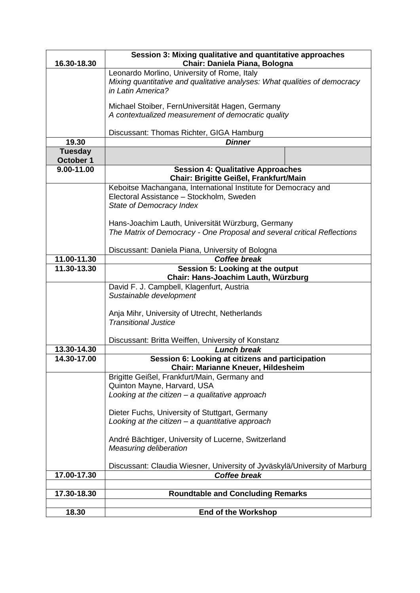| 16.30-18.30                 | Session 3: Mixing qualitative and quantitative approaches<br>Chair: Daniela Piana, Bologna                                                    |
|-----------------------------|-----------------------------------------------------------------------------------------------------------------------------------------------|
|                             | Leonardo Morlino, University of Rome, Italy<br>Mixing quantitative and qualitative analyses: What qualities of democracy<br>in Latin America? |
|                             | Michael Stoiber, FernUniversität Hagen, Germany<br>A contextualized measurement of democratic quality                                         |
|                             | Discussant: Thomas Richter, GIGA Hamburg                                                                                                      |
| 19.30                       | <b>Dinner</b>                                                                                                                                 |
| <b>Tuesday</b><br>October 1 |                                                                                                                                               |
| 9.00-11.00                  | <b>Session 4: Qualitative Approaches</b><br>Chair: Brigitte Geißel, Frankfurt/Main                                                            |
|                             | Keboitse Machangana, International Institute for Democracy and<br>Electoral Assistance - Stockholm, Sweden<br>State of Democracy Index        |
|                             | Hans-Joachim Lauth, Universität Würzburg, Germany<br>The Matrix of Democracy - One Proposal and several critical Reflections                  |
|                             | Discussant: Daniela Piana, University of Bologna                                                                                              |
| 11.00-11.30                 | <b>Coffee break</b>                                                                                                                           |
| 11.30-13.30                 | Session 5: Looking at the output                                                                                                              |
|                             | Chair: Hans-Joachim Lauth, Würzburg                                                                                                           |
|                             | David F. J. Campbell, Klagenfurt, Austria<br>Sustainable development                                                                          |
|                             | Anja Mihr, University of Utrecht, Netherlands<br><b>Transitional Justice</b>                                                                  |
|                             | Discussant: Britta Weiffen, University of Konstanz                                                                                            |
| 13.30-14.30                 | <b>Lunch break</b>                                                                                                                            |
| 14.30-17.00                 | Session 6: Looking at citizens and participation<br>Chair: Marianne Kneuer, Hildesheim                                                        |
|                             | Brigitte Geißel, Frankfurt/Main, Germany and                                                                                                  |
|                             | Quinton Mayne, Harvard, USA<br>Looking at the citizen $-$ a qualitative approach                                                              |
|                             |                                                                                                                                               |
|                             | Dieter Fuchs, University of Stuttgart, Germany<br>Looking at the citizen $-$ a quantitative approach                                          |
|                             | André Bächtiger, University of Lucerne, Switzerland<br><b>Measuring deliberation</b>                                                          |
|                             | Discussant: Claudia Wiesner, University of Jyväskylä/University of Marburg                                                                    |
| 17.00-17.30                 | <b>Coffee break</b>                                                                                                                           |
|                             |                                                                                                                                               |
| 17.30-18.30                 | <b>Roundtable and Concluding Remarks</b>                                                                                                      |
| 18.30                       | <b>End of the Workshop</b>                                                                                                                    |